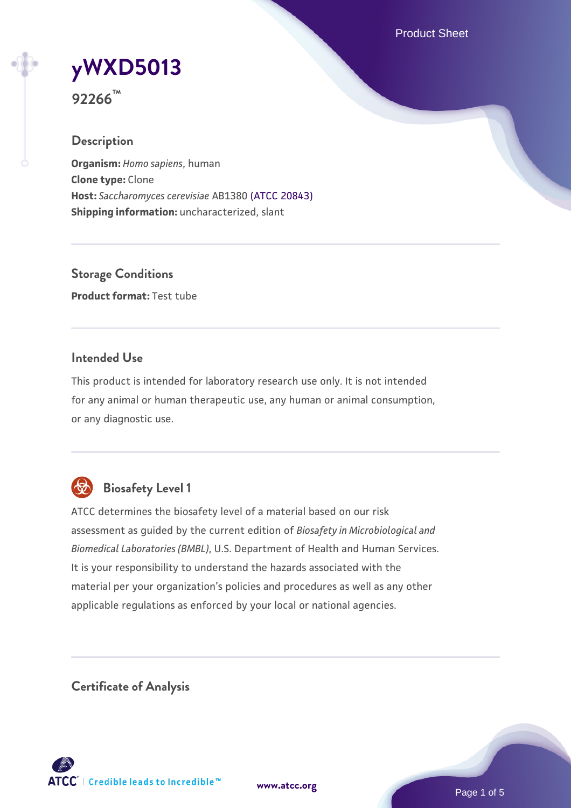Product Sheet

# **[yWXD5013](https://www.atcc.org/products/92266)**

**92266™**

# **Description**

**Organism:** *Homo sapiens*, human **Clone type:** Clone **Host:** *Saccharomyces cerevisiae* AB1380 [\(ATCC 20843\)](https://www.atcc.org/products/20843) **Shipping information:** uncharacterized, slant

**Storage Conditions Product format:** Test tube

# **Intended Use**

This product is intended for laboratory research use only. It is not intended for any animal or human therapeutic use, any human or animal consumption, or any diagnostic use.



# **Biosafety Level 1**

ATCC determines the biosafety level of a material based on our risk assessment as guided by the current edition of *Biosafety in Microbiological and Biomedical Laboratories (BMBL)*, U.S. Department of Health and Human Services. It is your responsibility to understand the hazards associated with the material per your organization's policies and procedures as well as any other applicable regulations as enforced by your local or national agencies.

**Certificate of Analysis**

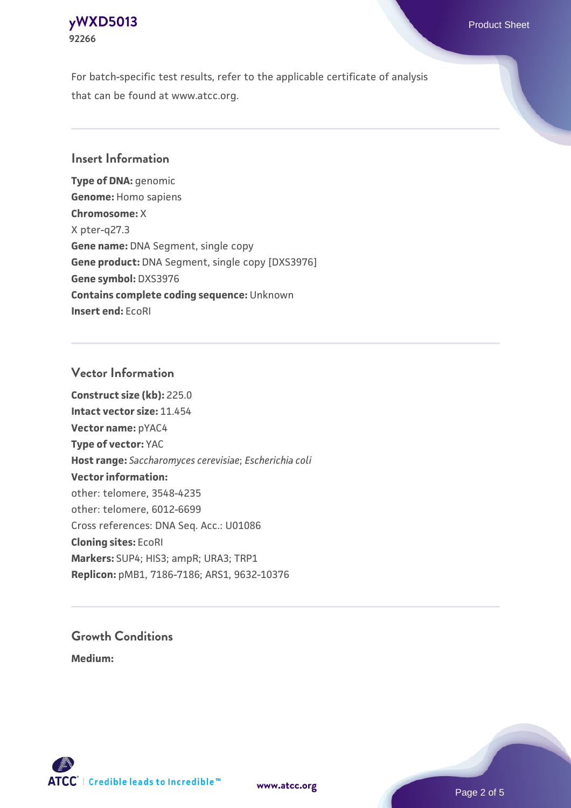## **[yWXD5013](https://www.atcc.org/products/92266)** Product Sheet **92266**

For batch-specific test results, refer to the applicable certificate of analysis that can be found at www.atcc.org.

# **Insert Information**

**Type of DNA:** genomic **Genome:** Homo sapiens **Chromosome:** X X pter-q27.3 **Gene name:** DNA Segment, single copy **Gene product:** DNA Segment, single copy [DXS3976] **Gene symbol:** DXS3976 **Contains complete coding sequence:** Unknown **Insert end:** EcoRI

# **Vector Information**

**Construct size (kb):** 225.0 **Intact vector size:** 11.454 **Vector name:** pYAC4 **Type of vector:** YAC **Host range:** *Saccharomyces cerevisiae*; *Escherichia coli* **Vector information:** other: telomere, 3548-4235 other: telomere, 6012-6699 Cross references: DNA Seq. Acc.: U01086 **Cloning sites:** EcoRI **Markers:** SUP4; HIS3; ampR; URA3; TRP1 **Replicon:** pMB1, 7186-7186; ARS1, 9632-10376

# **Growth Conditions**

**Medium:** 



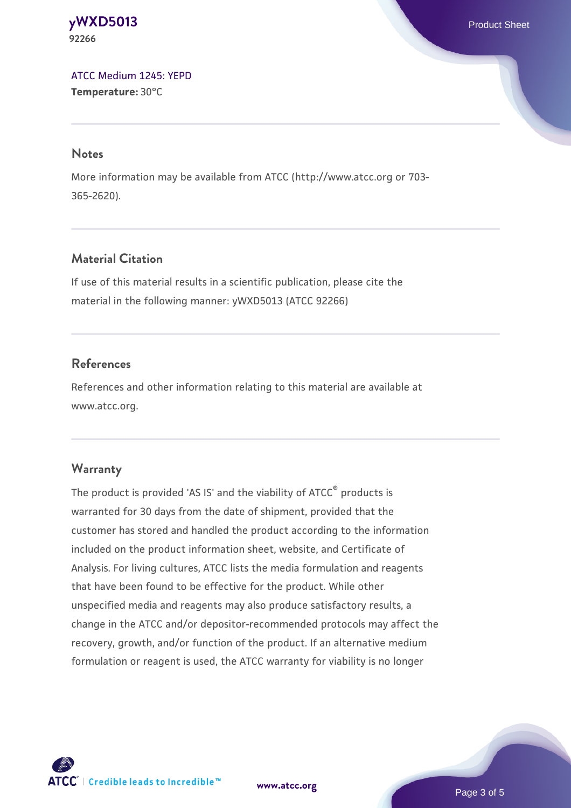#### **[yWXD5013](https://www.atcc.org/products/92266)** Product Sheet **92266**

[ATCC Medium 1245: YEPD](https://www.atcc.org/-/media/product-assets/documents/microbial-media-formulations/1/2/4/5/atcc-medium-1245.pdf?rev=705ca55d1b6f490a808a965d5c072196) **Temperature:** 30°C

#### **Notes**

More information may be available from ATCC (http://www.atcc.org or 703- 365-2620).

# **Material Citation**

If use of this material results in a scientific publication, please cite the material in the following manner: yWXD5013 (ATCC 92266)

# **References**

References and other information relating to this material are available at www.atcc.org.

#### **Warranty**

The product is provided 'AS IS' and the viability of ATCC® products is warranted for 30 days from the date of shipment, provided that the customer has stored and handled the product according to the information included on the product information sheet, website, and Certificate of Analysis. For living cultures, ATCC lists the media formulation and reagents that have been found to be effective for the product. While other unspecified media and reagents may also produce satisfactory results, a change in the ATCC and/or depositor-recommended protocols may affect the recovery, growth, and/or function of the product. If an alternative medium formulation or reagent is used, the ATCC warranty for viability is no longer



**[www.atcc.org](http://www.atcc.org)**

Page 3 of 5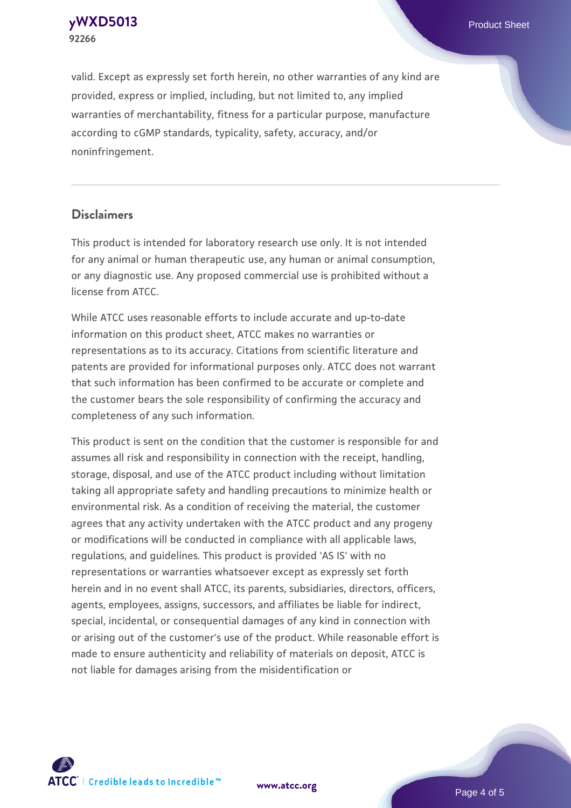**[yWXD5013](https://www.atcc.org/products/92266)** Product Sheet **92266**

valid. Except as expressly set forth herein, no other warranties of any kind are provided, express or implied, including, but not limited to, any implied warranties of merchantability, fitness for a particular purpose, manufacture according to cGMP standards, typicality, safety, accuracy, and/or noninfringement.

#### **Disclaimers**

This product is intended for laboratory research use only. It is not intended for any animal or human therapeutic use, any human or animal consumption, or any diagnostic use. Any proposed commercial use is prohibited without a license from ATCC.

While ATCC uses reasonable efforts to include accurate and up-to-date information on this product sheet, ATCC makes no warranties or representations as to its accuracy. Citations from scientific literature and patents are provided for informational purposes only. ATCC does not warrant that such information has been confirmed to be accurate or complete and the customer bears the sole responsibility of confirming the accuracy and completeness of any such information.

This product is sent on the condition that the customer is responsible for and assumes all risk and responsibility in connection with the receipt, handling, storage, disposal, and use of the ATCC product including without limitation taking all appropriate safety and handling precautions to minimize health or environmental risk. As a condition of receiving the material, the customer agrees that any activity undertaken with the ATCC product and any progeny or modifications will be conducted in compliance with all applicable laws, regulations, and guidelines. This product is provided 'AS IS' with no representations or warranties whatsoever except as expressly set forth herein and in no event shall ATCC, its parents, subsidiaries, directors, officers, agents, employees, assigns, successors, and affiliates be liable for indirect, special, incidental, or consequential damages of any kind in connection with or arising out of the customer's use of the product. While reasonable effort is made to ensure authenticity and reliability of materials on deposit, ATCC is not liable for damages arising from the misidentification or



**[www.atcc.org](http://www.atcc.org)**

Page 4 of 5